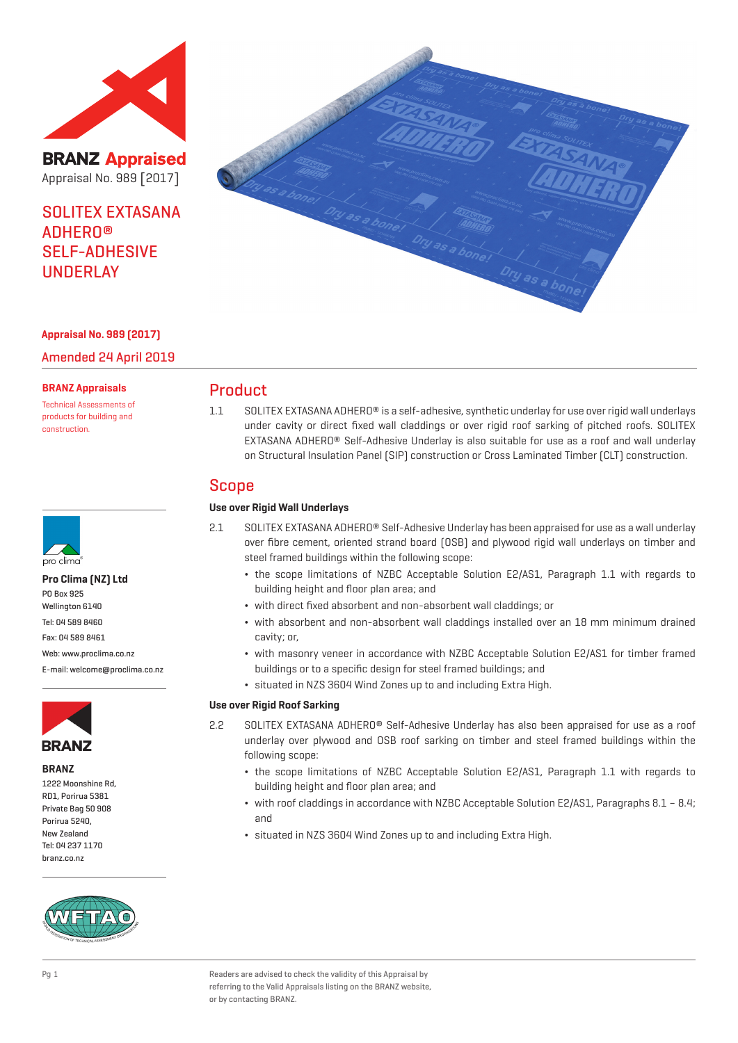

**BRANZ Appraised** Appraisal No. 989 [2017]

SOLITEX EXTASANA ADHERO® SELF-ADHESIVE UNDERLAY

## **Appraisal No. 989 (2017)**

Amended 24 April 2019

#### **BRANZ Appraisals**

Technical Assessments of products for building and construction.



#### **Pro Clima (NZ) Ltd**

PO Box 925 Wellington 6140 Tel: 04 589 8460 Fax: 04 589 8461

Web: www.proclima.co.nz

E-mail: welcome@proclima.co.nz



**BRANZ**

1222 Moonshine Rd, RD1, Porirua 5381 Private Bag 50 908 Porirua 5240, New Zealand Tel: 04 237 1170 branz.co.nz





## Product

1.1 SOLITEX EXTASANA ADHERO® is a self-adhesive, synthetic underlay for use over rigid wall underlays under cavity or direct fixed wall claddings or over rigid roof sarking of pitched roofs. SOLITEX EXTASANA ADHERO® Self-Adhesive Underlay is also suitable for use as a roof and wall underlay on Structural Insulation Panel (SIP) construction or Cross Laminated Timber (CLT) construction.

## Scope

## **Use over Rigid Wall Underlays**

- 2.1 SOLITEX EXTASANA ADHERO® Self-Adhesive Underlay has been appraised for use as a wall underlay over fibre cement, oriented strand board (OSB) and plywood rigid wall underlays on timber and steel framed buildings within the following scope:
	- ¬ the scope limitations of NZBC Acceptable Solution E2/AS1, Paragraph 1.1 with regards to building height and floor plan area; and
	- ¬ with direct fixed absorbent and non-absorbent wall claddings; or
	- ¬ with absorbent and non-absorbent wall claddings installed over an 18 mm minimum drained cavity; or,
	- ¬ with masonry veneer in accordance with NZBC Acceptable Solution E2/AS1 for timber framed buildings or to a specific design for steel framed buildings; and
	- ¬ situated in NZS 3604 Wind Zones up to and including Extra High.

### **Use over Rigid Roof Sarking**

- 2.2 SOLITEX EXTASANA ADHERO® Self-Adhesive Underlay has also been appraised for use as a roof underlay over plywood and OSB roof sarking on timber and steel framed buildings within the following scope:
	- ¬ the scope limitations of NZBC Acceptable Solution E2/AS1, Paragraph 1.1 with regards to building height and floor plan area; and
	- ¬ with roof claddings in accordance with NZBC Acceptable Solution E2/AS1, Paragraphs 8.1 8.4; and
	- ¬ situated in NZS 3604 Wind Zones up to and including Extra High.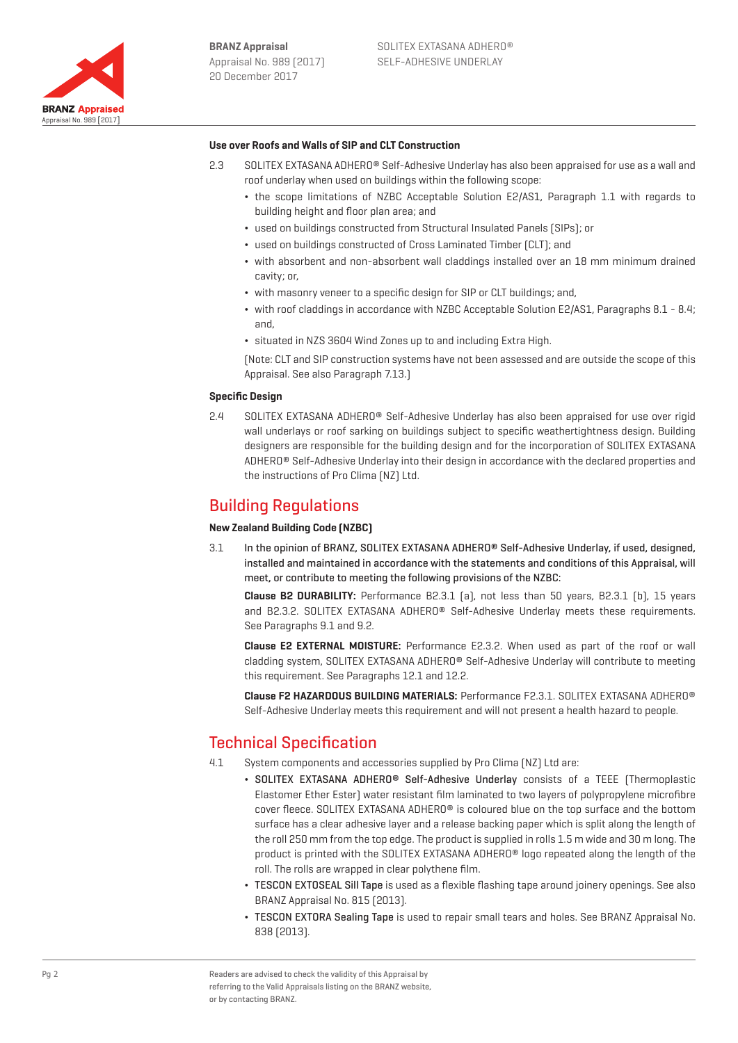

## **Use over Roofs and Walls of SIP and CLT Construction**

- 2.3 SOLITEX EXTASANA ADHERO® Self-Adhesive Underlay has also been appraised for use as a wall and roof underlay when used on buildings within the following scope:
	- ¬ the scope limitations of NZBC Acceptable Solution E2/AS1, Paragraph 1.1 with regards to building height and floor plan area; and
	- ¬ used on buildings constructed from Structural Insulated Panels (SIPs); or
	- ¬ used on buildings constructed of Cross Laminated Timber (CLT); and
	- ¬ with absorbent and non-absorbent wall claddings installed over an 18 mm minimum drained cavity; or,
	- ¬ with masonry veneer to a specific design for SIP or CLT buildings; and,
	- ¬ with roof claddings in accordance with NZBC Acceptable Solution E2/AS1, Paragraphs 8.1 8.4; and,
	- ¬ situated in NZS 3604 Wind Zones up to and including Extra High.

(Note: CLT and SIP construction systems have not been assessed and are outside the scope of this Appraisal. See also Paragraph 7.13.)

### **Specific Design**

2.4 SOLITEX EXTASANA ADHERO® Self-Adhesive Underlay has also been appraised for use over rigid wall underlays or roof sarking on buildings subject to specific weathertightness design. Building designers are responsible for the building design and for the incorporation of SOLITEX EXTASANA ADHERO® Self-Adhesive Underlay into their design in accordance with the declared properties and the instructions of Pro Clima (NZ) Ltd.

## Building Regulations

### **New Zealand Building Code (NZBC)**

3.1 In the opinion of BRANZ, SOLITEX EXTASANA ADHERO® Self-Adhesive Underlay, if used, designed, installed and maintained in accordance with the statements and conditions of this Appraisal, will meet, or contribute to meeting the following provisions of the NZBC:

**Clause B2 DURABILITY:** Performance B2.3.1 (a), not less than 50 years, B2.3.1 (b), 15 years and B2.3.2. SOLITEX EXTASANA ADHERO® Self-Adhesive Underlay meets these requirements. See Paragraphs 9.1 and 9.2.

**Clause E2 EXTERNAL MOISTURE:** Performance E2.3.2. When used as part of the roof or wall cladding system, SOLITEX EXTASANA ADHERO® Self-Adhesive Underlay will contribute to meeting this requirement. See Paragraphs 12.1 and 12.2.

**Clause F2 HAZARDOUS BUILDING MATERIALS:** Performance F2.3.1. SOLITEX EXTASANA ADHERO® Self-Adhesive Underlay meets this requirement and will not present a health hazard to people.

## Technical Specification

- 4.1 System components and accessories supplied by Pro Clima (NZ) Ltd are:
	- ¬ SOLITEX EXTASANA ADHERO® Self-Adhesive Underlay consists of a TEEE (Thermoplastic Elastomer Ether Ester) water resistant film laminated to two layers of polypropylene microfibre cover fleece. SOLITEX EXTASANA ADHERO® is coloured blue on the top surface and the bottom surface has a clear adhesive layer and a release backing paper which is split along the length of the roll 250 mm from the top edge. The product is supplied in rolls 1.5 m wide and 30 m long. The product is printed with the SOLITEX EXTASANA ADHERO® logo repeated along the length of the roll. The rolls are wrapped in clear polythene film.
	- ¬ TESCON EXTOSEAL Sill Tape is used as a flexible flashing tape around joinery openings. See also BRANZ Appraisal No. 815 (2013).
	- ¬ TESCON EXTORA Sealing Tape is used to repair small tears and holes. See BRANZ Appraisal No. 838 (2013).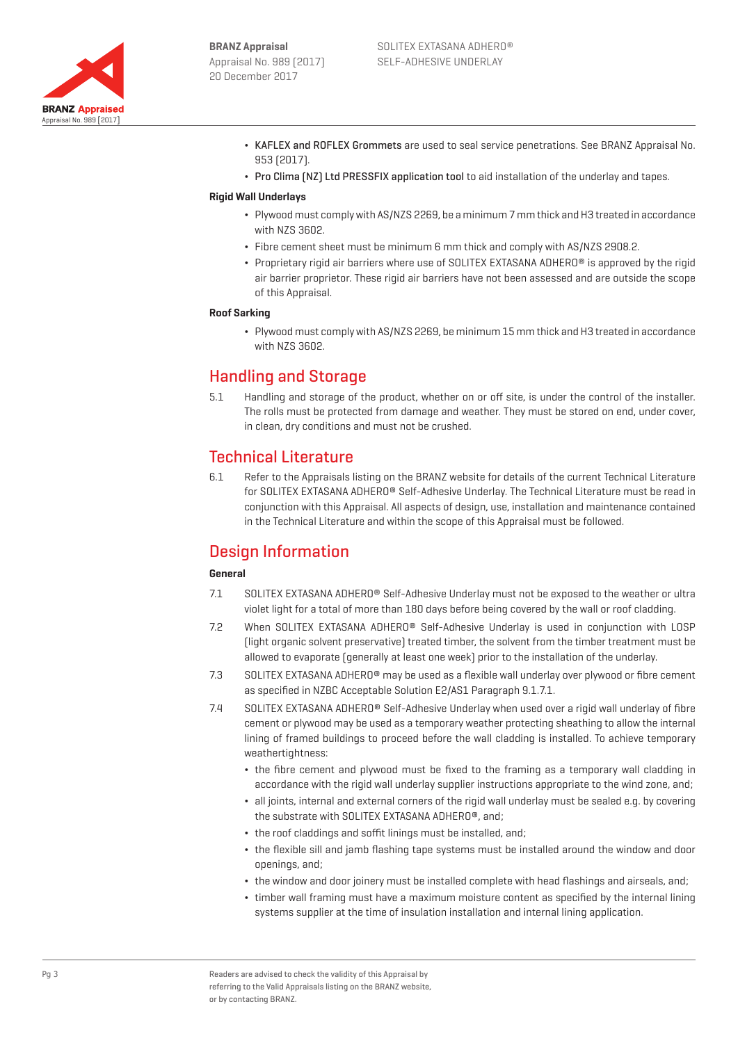

- ¬ KAFLEX and ROFLEX Grommets are used to seal service penetrations. See BRANZ Appraisal No. 953 (2017).
- Pro Clima [NZ] Ltd PRESSFIX application tool to aid installation of the underlay and tapes.

### **Rigid Wall Underlays**

- ¬ Plywood must comply with AS/NZS 2269, be a minimum 7 mm thick and H3 treated in accordance with NZS 3602.
- ¬ Fibre cement sheet must be minimum 6 mm thick and comply with AS/NZS 2908.2.
- Proprietary rigid air barriers where use of SOLITEX EXTASANA ADHERO® is approved by the rigid air barrier proprietor. These rigid air barriers have not been assessed and are outside the scope of this Appraisal.

### **Roof Sarking**

¬ Plywood must comply with AS/NZS 2269, be minimum 15 mm thick and H3 treated in accordance with NZS 3602.

## Handling and Storage

5.1 Handling and storage of the product, whether on or off site, is under the control of the installer. The rolls must be protected from damage and weather. They must be stored on end, under cover, in clean, dry conditions and must not be crushed.

## Technical Literature

6.1 Refer to the Appraisals listing on the BRANZ website for details of the current Technical Literature for SOLITEX EXTASANA ADHERO® Self-Adhesive Underlay. The Technical Literature must be read in conjunction with this Appraisal. All aspects of design, use, installation and maintenance contained in the Technical Literature and within the scope of this Appraisal must be followed.

# Design Information

## **General**

- 7.1 SOLITEX EXTASANA ADHERO® Self-Adhesive Underlay must not be exposed to the weather or ultra violet light for a total of more than 180 days before being covered by the wall or roof cladding.
- 7.2 When SOLITEX EXTASANA ADHERO® Self-Adhesive Underlay is used in conjunction with LOSP (light organic solvent preservative) treated timber, the solvent from the timber treatment must be allowed to evaporate (generally at least one week) prior to the installation of the underlay.
- 7.3 SOLITEX EXTASANA ADHERO® may be used as a flexible wall underlay over plywood or fibre cement as specified in NZBC Acceptable Solution E2/AS1 Paragraph 9.1.7.1.
- 7.4 SOLITEX EXTASANA ADHERO® Self-Adhesive Underlay when used over a rigid wall underlay of fibre cement or plywood may be used as a temporary weather protecting sheathing to allow the internal lining of framed buildings to proceed before the wall cladding is installed. To achieve temporary weathertightness:
	- ¬ the fibre cement and plywood must be fixed to the framing as a temporary wall cladding in accordance with the rigid wall underlay supplier instructions appropriate to the wind zone, and;
	- ¬ all joints, internal and external corners of the rigid wall underlay must be sealed e.g. by covering the substrate with SOLITEX EXTASANA ADHERO®, and;
	- ¬ the roof claddings and soffit linings must be installed, and;
	- ¬ the flexible sill and jamb flashing tape systems must be installed around the window and door openings, and;
	- ¬ the window and door joinery must be installed complete with head flashings and airseals, and;
	- ¬ timber wall framing must have a maximum moisture content as specified by the internal lining systems supplier at the time of insulation installation and internal lining application.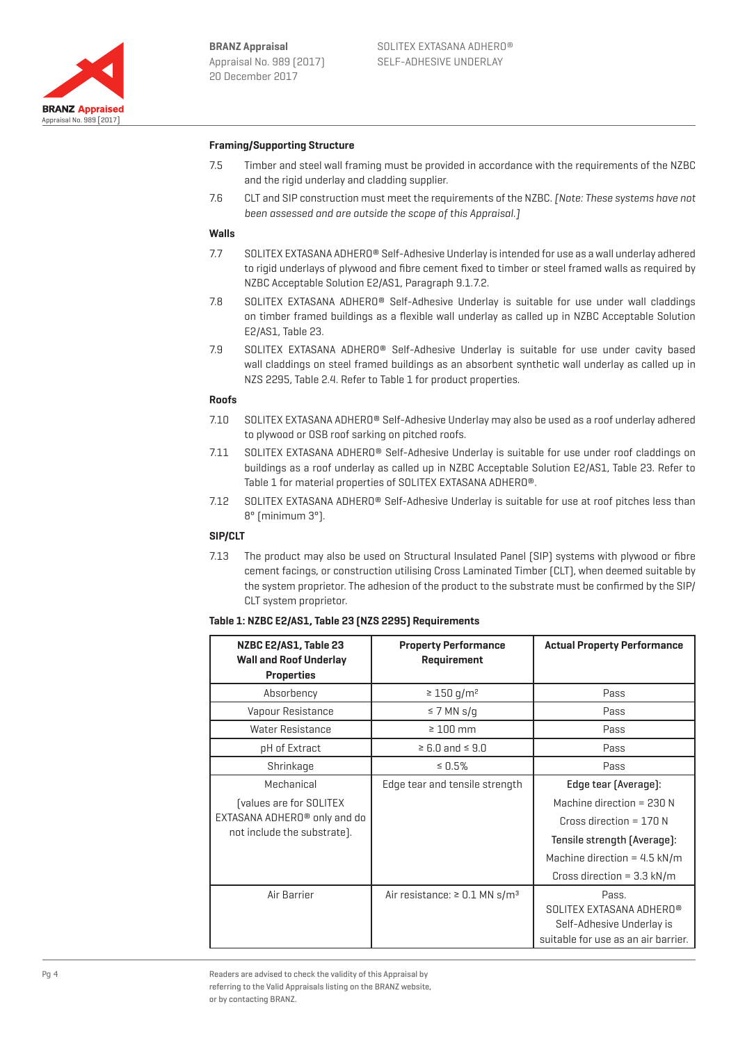

## **Framing/Supporting Structure**

- 7.5 Timber and steel wall framing must be provided in accordance with the requirements of the NZBC and the rigid underlay and cladding supplier.
- 7.6 CLT and SIP construction must meet the requirements of the NZBC. [Note: These systems have not been assessed and are outside the scope of this Appraisal.]

#### **Walls**

- 7.7 SOLITEX EXTASANA ADHERO® Self-Adhesive Underlay is intended for use as a wall underlay adhered to rigid underlays of plywood and fibre cement fixed to timber or steel framed walls as required by NZBC Acceptable Solution E2/AS1, Paragraph 9.1.7.2.
- 7.8 SOLITEX EXTASANA ADHERO® Self-Adhesive Underlay is suitable for use under wall claddings on timber framed buildings as a flexible wall underlay as called up in NZBC Acceptable Solution E2/AS1, Table 23.
- 7.9 SOLITEX EXTASANA ADHERO® Self-Adhesive Underlay is suitable for use under cavity based wall claddings on steel framed buildings as an absorbent synthetic wall underlay as called up in NZS 2295, Table 2.4. Refer to Table 1 for product properties.

### **Roofs**

- 7.10 SOLITEX EXTASANA ADHERO® Self-Adhesive Underlay may also be used as a roof underlay adhered to plywood or OSB roof sarking on pitched roofs.
- 7.11 SOLITEX EXTASANA ADHERO® Self-Adhesive Underlay is suitable for use under roof claddings on buildings as a roof underlay as called up in NZBC Acceptable Solution E2/AS1, Table 23. Refer to Table 1 for material properties of SOLITEX EXTASANA ADHERO®.
- 7.12 SOLITEX EXTASANA ADHERO® Self-Adhesive Underlay is suitable for use at roof pitches less than 8° (minimum 3°).

### **SIP/CLT**

7.13 The product may also be used on Structural Insulated Panel (SIP) systems with plywood or fibre cement facings, or construction utilising Cross Laminated Timber (CLT), when deemed suitable by the system proprietor. The adhesion of the product to the substrate must be confirmed by the SIP/ CLT system proprietor.

#### **Table 1: NZBC E2/AS1, Table 23 (NZS 2295) Requirements**

| NZBC E2/AS1, Table 23<br><b>Wall and Roof Underlay</b><br><b>Properties</b> | <b>Property Performance</b><br><b>Requirement</b> | <b>Actual Property Performance</b>   |
|-----------------------------------------------------------------------------|---------------------------------------------------|--------------------------------------|
| Absorbency                                                                  | $\geq 150$ g/m <sup>2</sup>                       | Pass                                 |
| Vapour Resistance                                                           | $\leq$ 7 MN s/g                                   | Pass                                 |
| Water Resistance                                                            | $\geq 100$ mm                                     | Pass                                 |
| pH of Extract                                                               | $\geq 6.0$ and $\leq 9.0$                         | Pass                                 |
| Shrinkage                                                                   | $\leq 0.5\%$                                      | Pass                                 |
| Mechanical                                                                  | Edge tear and tensile strength                    | Edge tear (Average):                 |
| [values are for SOLITEX                                                     |                                                   | Machine direction = 230 N            |
| EXTASANA ADHERO <sup>®</sup> only and do                                    |                                                   | Cross direction = $170 N$            |
| not include the substrate).                                                 |                                                   | Tensile strength (Average):          |
|                                                                             |                                                   | Machine direction = $4.5$ kN/m       |
|                                                                             |                                                   | Cross direction = $3.3 \text{ kN/m}$ |
| Air Barrier                                                                 | Air resistance: $\geq 0.1$ MN s/m <sup>3</sup>    | Pass.                                |
|                                                                             |                                                   | SOLITEX EXTASANA ADHERO®             |
|                                                                             |                                                   | Self-Adhesive Underlay is            |
|                                                                             |                                                   | suitable for use as an air barrier.  |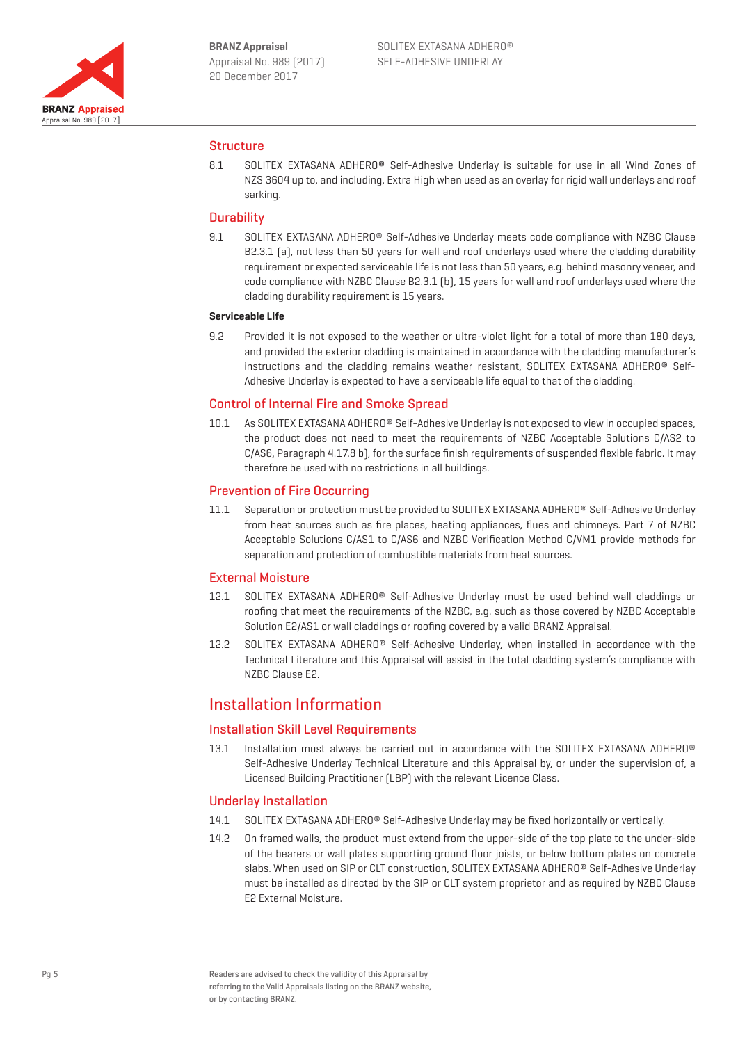

## **Structure**

8.1 SOLITEX EXTASANA ADHERO® Self-Adhesive Underlay is suitable for use in all Wind Zones of NZS 3604 up to, and including, Extra High when used as an overlay for rigid wall underlays and roof sarking.

## **Durability**

9.1 SOLITEX EXTASANA ADHERO® Self-Adhesive Underlay meets code compliance with NZBC Clause B2.3.1 (a), not less than 50 years for wall and roof underlays used where the cladding durability requirement or expected serviceable life is not less than 50 years, e.g. behind masonry veneer, and code compliance with NZBC Clause B2.3.1 (b), 15 years for wall and roof underlays used where the cladding durability requirement is 15 years.

### **Serviceable Life**

9.2 Provided it is not exposed to the weather or ultra-violet light for a total of more than 180 days, and provided the exterior cladding is maintained in accordance with the cladding manufacturer's instructions and the cladding remains weather resistant, SOLITEX EXTASANA ADHERO® Self-Adhesive Underlay is expected to have a serviceable life equal to that of the cladding.

## Control of Internal Fire and Smoke Spread

10.1 As SOLITEX EXTASANA ADHERO® Self-Adhesive Underlay is not exposed to view in occupied spaces, the product does not need to meet the requirements of NZBC Acceptable Solutions C/AS2 to C/AS6, Paragraph 4.17.8 b), for the surface finish requirements of suspended flexible fabric. It may therefore be used with no restrictions in all buildings.

## Prevention of Fire Occurring

11.1 Separation or protection must be provided to SOLITEX EXTASANA ADHERO® Self-Adhesive Underlay from heat sources such as fire places, heating appliances, flues and chimneys. Part 7 of NZBC Acceptable Solutions C/AS1 to C/AS6 and NZBC Verification Method C/VM1 provide methods for separation and protection of combustible materials from heat sources.

## External Moisture

- 12.1 SOLITEX EXTASANA ADHERO® Self-Adhesive Underlay must be used behind wall claddings or roofing that meet the requirements of the NZBC, e.g. such as those covered by NZBC Acceptable Solution E2/AS1 or wall claddings or roofing covered by a valid BRANZ Appraisal.
- 12.2 SOLITEX EXTASANA ADHERO® Self-Adhesive Underlay, when installed in accordance with the Technical Literature and this Appraisal will assist in the total cladding system's compliance with NZBC Clause E2.

## Installation Information

## Installation Skill Level Requirements

13.1 Installation must always be carried out in accordance with the SOLITEX EXTASANA ADHERO® Self-Adhesive Underlay Technical Literature and this Appraisal by, or under the supervision of, a Licensed Building Practitioner (LBP) with the relevant Licence Class.

## Underlay Installation

- 14.1 SOLITEX EXTASANA ADHERO® Self-Adhesive Underlay may be fixed horizontally or vertically.
- 14.2 On framed walls, the product must extend from the upper-side of the top plate to the under-side of the bearers or wall plates supporting ground floor joists, or below bottom plates on concrete slabs. When used on SIP or CLT construction, SOLITEX EXTASANA ADHERO® Self-Adhesive Underlay must be installed as directed by the SIP or CLT system proprietor and as required by NZBC Clause E2 External Moisture.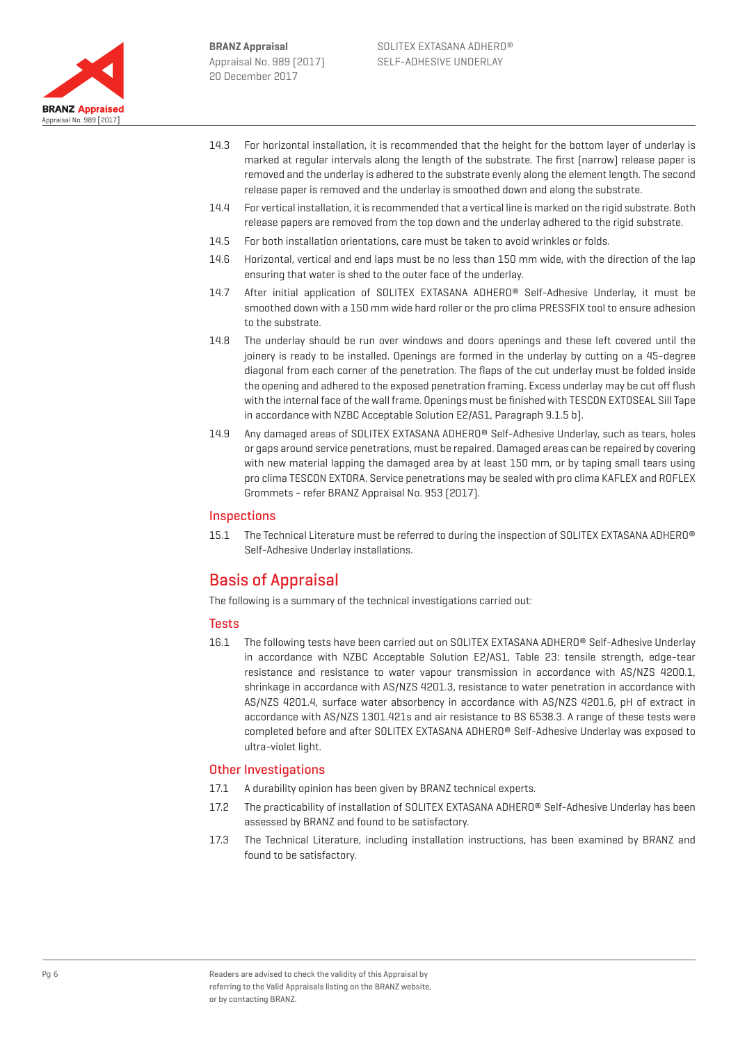

- 14.3 For horizontal installation, it is recommended that the height for the bottom layer of underlay is marked at regular intervals along the length of the substrate. The first (narrow) release paper is removed and the underlay is adhered to the substrate evenly along the element length. The second release paper is removed and the underlay is smoothed down and along the substrate.
- 14.4 For vertical installation, it is recommended that a vertical line is marked on the rigid substrate. Both release papers are removed from the top down and the underlay adhered to the rigid substrate.
- 14.5 For both installation orientations, care must be taken to avoid wrinkles or folds.
- 14.6 Horizontal, vertical and end laps must be no less than 150 mm wide, with the direction of the lap ensuring that water is shed to the outer face of the underlay.
- 14.7 After initial application of SOLITEX EXTASANA ADHERO® Self-Adhesive Underlay, it must be smoothed down with a 150 mm wide hard roller or the pro clima PRESSFIX tool to ensure adhesion to the substrate.
- 14.8 The underlay should be run over windows and doors openings and these left covered until the joinery is ready to be installed. Openings are formed in the underlay by cutting on a 45-degree diagonal from each corner of the penetration. The flaps of the cut underlay must be folded inside the opening and adhered to the exposed penetration framing. Excess underlay may be cut off flush with the internal face of the wall frame. Openings must be finished with TESCON EXTOSEAL Sill Tape in accordance with NZBC Acceptable Solution E2/AS1, Paragraph 9.1.5 b).
- 14.9 Any damaged areas of SOLITEX EXTASANA ADHERO® Self-Adhesive Underlay, such as tears, holes or gaps around service penetrations, must be repaired. Damaged areas can be repaired by covering with new material lapping the damaged area by at least 150 mm, or by taping small tears using pro clima TESCON EXTORA. Service penetrations may be sealed with pro clima KAFLEX and ROFLEX Grommets - refer BRANZ Appraisal No. 953 (2017).

## **Inspections**

15.1 The Technical Literature must be referred to during the inspection of SOLITEX EXTASANA ADHERO® Self-Adhesive Underlay installations.

## Basis of Appraisal

The following is a summary of the technical investigations carried out:

### Tests

16.1 The following tests have been carried out on SOLITEX EXTASANA ADHERO® Self-Adhesive Underlay in accordance with NZBC Acceptable Solution E2/AS1, Table 23: tensile strength, edge-tear resistance and resistance to water vapour transmission in accordance with AS/NZS 4200.1, shrinkage in accordance with AS/NZS 4201.3, resistance to water penetration in accordance with AS/NZS 4201.4, surface water absorbency in accordance with AS/NZS 4201.6, pH of extract in accordance with AS/NZS 1301.421s and air resistance to BS 6538.3. A range of these tests were completed before and after SOLITEX EXTASANA ADHERO® Self-Adhesive Underlay was exposed to ultra-violet light.

## Other Investigations

- 17.1 A durability opinion has been given by BRANZ technical experts.
- 17.2 The practicability of installation of SOLITEX EXTASANA ADHERO® Self-Adhesive Underlay has been assessed by BRANZ and found to be satisfactory.
- 17.3 The Technical Literature, including installation instructions, has been examined by BRANZ and found to be satisfactory.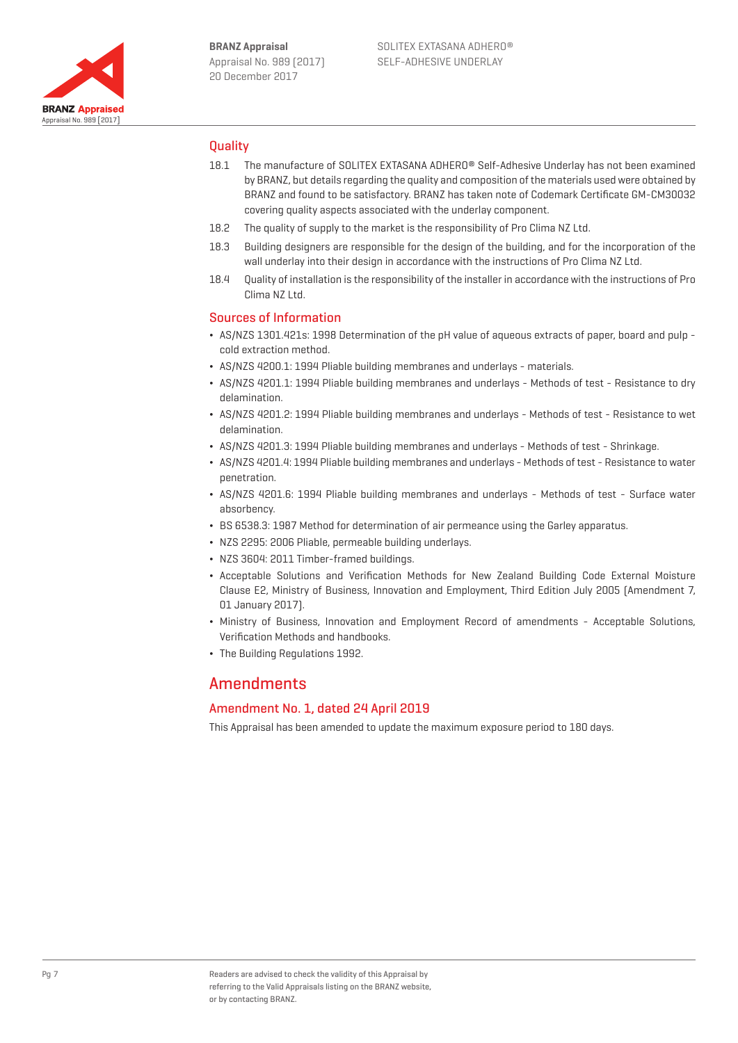

## **Ouality**

- 18.1 The manufacture of SOLITEX EXTASANA ADHERO® Self-Adhesive Underlay has not been examined by BRANZ, but details regarding the quality and composition of the materials used were obtained by BRANZ and found to be satisfactory. BRANZ has taken note of Codemark Certificate GM-CM30032 covering quality aspects associated with the underlay component.
- 18.2 The quality of supply to the market is the responsibility of Pro Clima NZ Ltd.
- 18.3 Building designers are responsible for the design of the building, and for the incorporation of the wall underlay into their design in accordance with the instructions of Pro Clima NZ Ltd.
- 18.4 Quality of installation is the responsibility of the installer in accordance with the instructions of Pro Clima NZ Ltd.

## Sources of Information

- ¬ AS/NZS 1301.421s: 1998 Determination of the pH value of aqueous extracts of paper, board and pulp cold extraction method.
- ¬ AS/NZS 4200.1: 1994 Pliable building membranes and underlays materials.
- ¬ AS/NZS 4201.1: 1994 Pliable building membranes and underlays Methods of test Resistance to dry delamination.
- ¬ AS/NZS 4201.2: 1994 Pliable building membranes and underlays Methods of test Resistance to wet delamination.
- ¬ AS/NZS 4201.3: 1994 Pliable building membranes and underlays Methods of test Shrinkage.
- ¬ AS/NZS 4201.4: 1994 Pliable building membranes and underlays Methods of test Resistance to water penetration.
- ¬ AS/NZS 4201.6: 1994 Pliable building membranes and underlays Methods of test Surface water absorbency.
- ¬ BS 6538.3: 1987 Method for determination of air permeance using the Garley apparatus.
- ¬ NZS 2295: 2006 Pliable, permeable building underlays.
- ¬ NZS 3604: 2011 Timber-framed buildings.
- ¬ Acceptable Solutions and Verification Methods for New Zealand Building Code External Moisture Clause E2, Ministry of Business, Innovation and Employment, Third Edition July 2005 (Amendment 7, 01 January 2017).
- ¬ Ministry of Business, Innovation and Employment Record of amendments Acceptable Solutions, Verification Methods and handbooks.
- The Building Regulations 1992.

## Amendments

## Amendment No. 1, dated 24 April 2019

This Appraisal has been amended to update the maximum exposure period to 180 days.